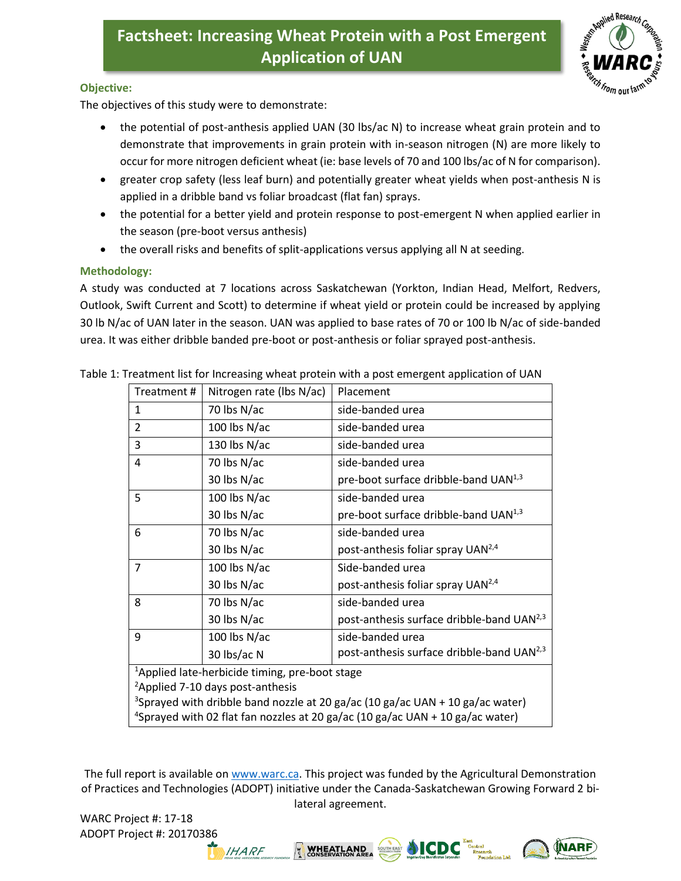## **Factsheet: Increasing Wheat Protein with a Post Emergent Application of UAN**



**NARF** 

## **Objective:**

The objectives of this study were to demonstrate:

- the potential of post-anthesis applied UAN (30 lbs/ac N) to increase wheat grain protein and to demonstrate that improvements in grain protein with in-season nitrogen (N) are more likely to occur for more nitrogen deficient wheat (ie: base levels of 70 and 100 lbs/ac of N for comparison).
- greater crop safety (less leaf burn) and potentially greater wheat yields when post-anthesis N is applied in a dribble band vs foliar broadcast (flat fan) sprays.
- the potential for a better yield and protein response to post-emergent N when applied earlier in the season (pre-boot versus anthesis)
- the overall risks and benefits of split-applications versus applying all N at seeding.

## **Methodology:**

A study was conducted at 7 locations across Saskatchewan (Yorkton, Indian Head, Melfort, Redvers, Outlook, Swift Current and Scott) to determine if wheat yield or protein could be increased by applying 30 lb N/ac of UAN later in the season. UAN was applied to base rates of 70 or 100 lb N/ac of side-banded urea. It was either dribble banded pre-boot or post-anthesis or foliar sprayed post-anthesis.

| Treatment#                                                                                | Nitrogen rate (lbs N/ac) | Placement                                             |
|-------------------------------------------------------------------------------------------|--------------------------|-------------------------------------------------------|
| $\mathbf{1}$                                                                              | 70 lbs N/ac              | side-banded urea                                      |
| $\overline{2}$                                                                            | 100 lbs $N/ac$           | side-banded urea                                      |
| 3                                                                                         | 130 lbs $N/ac$           | side-banded urea                                      |
| 4                                                                                         | 70 lbs N/ac              | side-banded urea                                      |
|                                                                                           | 30 lbs N/ac              | pre-boot surface dribble-band UAN <sup>1,3</sup>      |
| 5                                                                                         | 100 lbs $N/ac$           | side-banded urea                                      |
|                                                                                           | 30 lbs N/ac              | pre-boot surface dribble-band UAN <sup>1,3</sup>      |
| 6                                                                                         | 70 lbs N/ac              | side-banded urea                                      |
|                                                                                           | 30 lbs N/ac              | post-anthesis foliar spray UAN <sup>2,4</sup>         |
| $\overline{7}$                                                                            | 100 lbs N/ac             | Side-banded urea                                      |
|                                                                                           | 30 lbs N/ac              | post-anthesis foliar spray UAN <sup>2,4</sup>         |
| 8                                                                                         | 70 lbs N/ac              | side-banded urea                                      |
|                                                                                           | 30 lbs N/ac              | post-anthesis surface dribble-band UAN <sup>2,3</sup> |
| 9                                                                                         | 100 lbs N/ac             | side-banded urea                                      |
|                                                                                           | 30 lbs/ac N              | post-anthesis surface dribble-band UAN <sup>2,3</sup> |
| <sup>1</sup> Applied late-herbicide timing, pre-boot stage                                |                          |                                                       |
| <sup>2</sup> Applied 7-10 days post-anthesis                                              |                          |                                                       |
| <sup>3</sup> Sprayed with dribble band nozzle at 20 ga/ac (10 ga/ac UAN + 10 ga/ac water) |                          |                                                       |
| <sup>4</sup> Sprayed with 02 flat fan nozzles at 20 ga/ac (10 ga/ac UAN + 10 ga/ac water) |                          |                                                       |

Table 1: Treatment list for Increasing wheat protein with a post emergent application of UAN

The full report is available on [www.warc.ca.](http://www.warc.ca/) This project was funded by the Agricultural Demonstration of Practices and Technologies (ADOPT) initiative under the Canada-Saskatchewan Growing Forward 2 bilateral agreement.

WARC Project #: 17-18 ADOPT Project #: 20170386